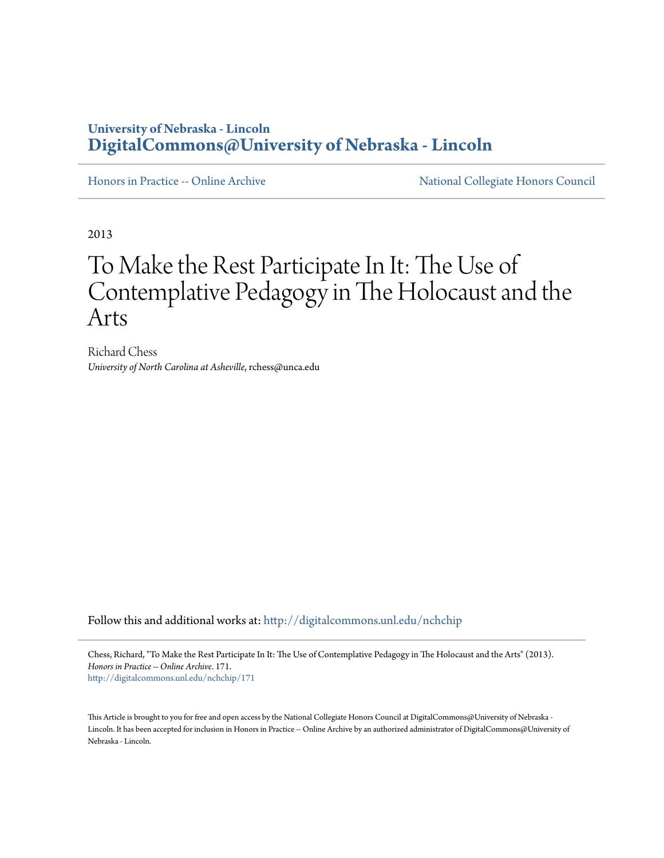# **University of Nebraska - Lincoln [DigitalCommons@University of Nebraska - Lincoln](http://digitalcommons.unl.edu?utm_source=digitalcommons.unl.edu%2Fnchchip%2F171&utm_medium=PDF&utm_campaign=PDFCoverPages)**

[Honors in Practice -- Online Archive](http://digitalcommons.unl.edu/nchchip?utm_source=digitalcommons.unl.edu%2Fnchchip%2F171&utm_medium=PDF&utm_campaign=PDFCoverPages) [National Collegiate Honors Council](http://digitalcommons.unl.edu/natlcollhonors?utm_source=digitalcommons.unl.edu%2Fnchchip%2F171&utm_medium=PDF&utm_campaign=PDFCoverPages)

2013

# To Make the Rest Participate In It: The Use of Contemplative Pedagogy in The Holocaust and the Arts

Richard Chess *University of North Carolina at Asheville*, rchess@unca.edu

Follow this and additional works at: [http://digitalcommons.unl.edu/nchchip](http://digitalcommons.unl.edu/nchchip?utm_source=digitalcommons.unl.edu%2Fnchchip%2F171&utm_medium=PDF&utm_campaign=PDFCoverPages)

Chess, Richard, "To Make the Rest Participate In It: The Use of Contemplative Pedagogy in The Holocaust and the Arts" (2013). *Honors in Practice -- Online Archive*. 171. [http://digitalcommons.unl.edu/nchchip/171](http://digitalcommons.unl.edu/nchchip/171?utm_source=digitalcommons.unl.edu%2Fnchchip%2F171&utm_medium=PDF&utm_campaign=PDFCoverPages)

This Article is brought to you for free and open access by the National Collegiate Honors Council at DigitalCommons@University of Nebraska - Lincoln. It has been accepted for inclusion in Honors in Practice -- Online Archive by an authorized administrator of DigitalCommons@University of Nebraska - Lincoln.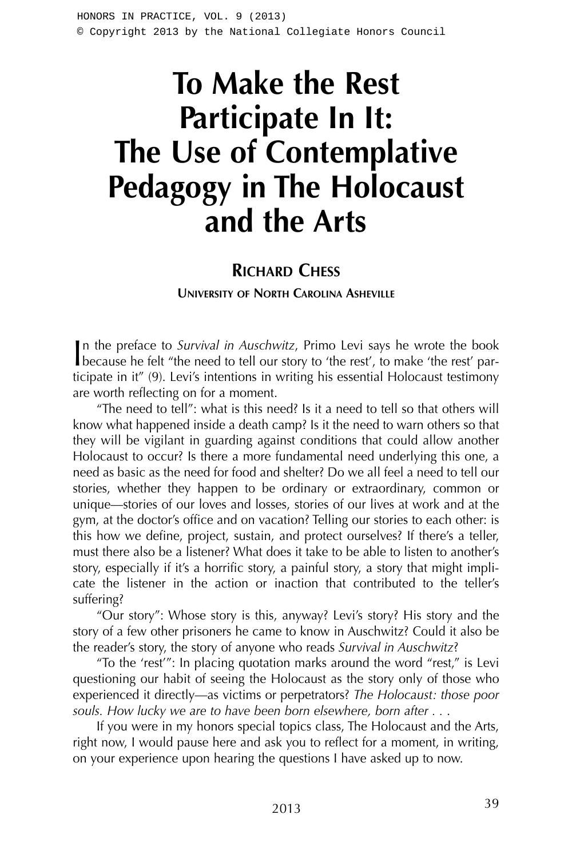# **To Make the Rest Participate In It: The Use of Contemplative Pedagogy in The Holocaust and the Arts**

## **RICHARD CHESS**

**UNIVERSITY OF NORTH CAROLINA ASHEVILLE**

In the preface to *Survival in Auschwitz*, Primo Levi says he wrote the book because he felt "the need to tell our story to 'the rest', to make 'the rest' parn the preface to *Survival in Auschwitz*, Primo Levi says he wrote the book ticipate in it" (9). Levi's intentions in writing his essential Holocaust testimony are worth reflecting on for a moment.

"The need to tell": what is this need? Is it a need to tell so that others will know what happened inside a death camp? Is it the need to warn others so that they will be vigilant in guarding against conditions that could allow another Holocaust to occur? Is there a more fundamental need underlying this one, a need as basic as the need for food and shelter? Do we all feel a need to tell our stories, whether they happen to be ordinary or extraordinary, common or unique—stories of our loves and losses, stories of our lives at work and at the gym, at the doctor's office and on vacation? Telling our stories to each other: is this how we define, project, sustain, and protect ourselves? If there's a teller, must there also be a listener? What does it take to be able to listen to another's story, especially if it's a horrific story, a painful story, a story that might implicate the listener in the action or inaction that contributed to the teller's suffering?

"Our story": Whose story is this, anyway? Levi's story? His story and the story of a few other prisoners he came to know in Auschwitz? Could it also be the reader's story, the story of anyone who reads *Survival in Auschwitz*?

"To the 'rest'": In placing quotation marks around the word "rest," is Levi questioning our habit of seeing the Holocaust as the story only of those who experienced it directly—as victims or perpetrators? *The Holocaust: those poor souls. How lucky we are to have been born elsewhere, born after . .* .

If you were in my honors special topics class, The Holocaust and the Arts, right now, I would pause here and ask you to reflect for a moment, in writing, on your experience upon hearing the questions I have asked up to now.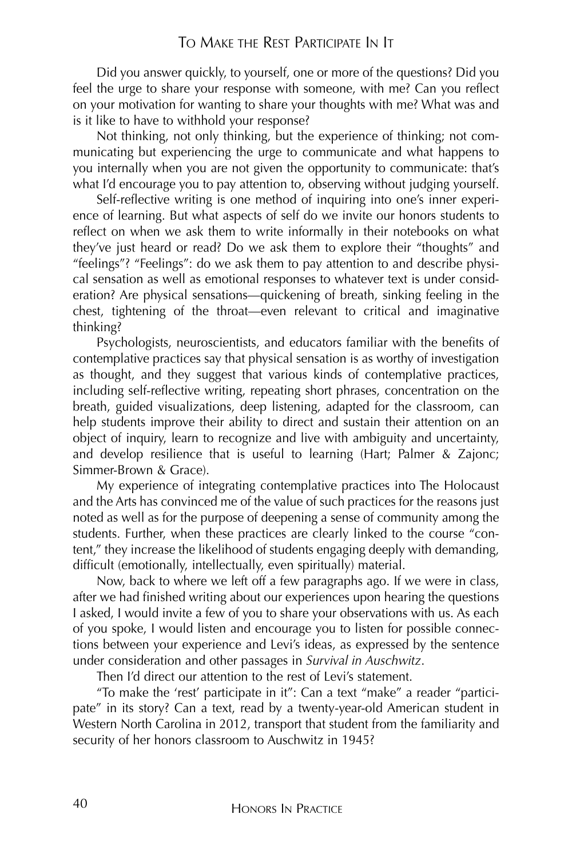Did you answer quickly, to yourself, one or more of the questions? Did you feel the urge to share your response with someone, with me? Can you reflect on your motivation for wanting to share your thoughts with me? What was and is it like to have to withhold your response?

Not thinking, not only thinking, but the experience of thinking; not communicating but experiencing the urge to communicate and what happens to you internally when you are not given the opportunity to communicate: that's what I'd encourage you to pay attention to, observing without judging yourself.

Self-reflective writing is one method of inquiring into one's inner experience of learning. But what aspects of self do we invite our honors students to reflect on when we ask them to write informally in their notebooks on what they've just heard or read? Do we ask them to explore their "thoughts" and "feelings"? "Feelings": do we ask them to pay attention to and describe physical sensation as well as emotional responses to whatever text is under consideration? Are physical sensations—quickening of breath, sinking feeling in the chest, tightening of the throat—even relevant to critical and imaginative thinking?

Psychologists, neuroscientists, and educators familiar with the benefits of contemplative practices say that physical sensation is as worthy of investigation as thought, and they suggest that various kinds of contemplative practices, including self-reflective writing, repeating short phrases, concentration on the breath, guided visualizations, deep listening, adapted for the classroom, can help students improve their ability to direct and sustain their attention on an object of inquiry, learn to recognize and live with ambiguity and uncertainty, and develop resilience that is useful to learning (Hart; Palmer & Zajonc; Simmer-Brown & Grace).

My experience of integrating contemplative practices into The Holocaust and the Arts has convinced me of the value of such practices for the reasons just noted as well as for the purpose of deepening a sense of community among the students. Further, when these practices are clearly linked to the course "content," they increase the likelihood of students engaging deeply with demanding, difficult (emotionally, intellectually, even spiritually) material.

Now, back to where we left off a few paragraphs ago. If we were in class, after we had finished writing about our experiences upon hearing the questions I asked, I would invite a few of you to share your observations with us. As each of you spoke, I would listen and encourage you to listen for possible connections between your experience and Levi's ideas, as expressed by the sentence under consideration and other passages in *Survival in Auschwitz*.

Then I'd direct our attention to the rest of Levi's statement.

"To make the 'rest' participate in it": Can a text "make" a reader "participate" in its story? Can a text, read by a twenty-year-old American student in Western North Carolina in 2012, transport that student from the familiarity and security of her honors classroom to Auschwitz in 1945?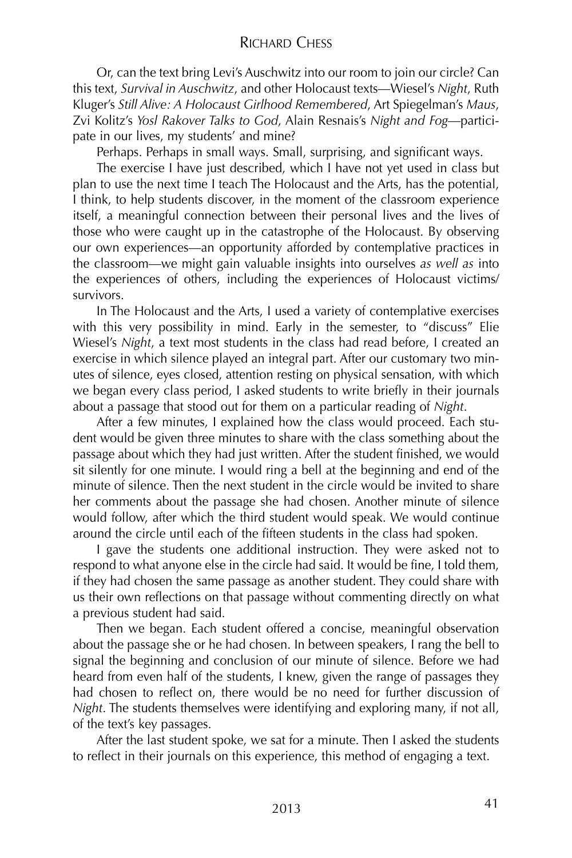#### RICHARD CHESS

Or, can the text bring Levi's Auschwitz into our room to join our circle? Can this text, *Survival in Auschwitz*, and other Holocaust texts—Wiesel's *Night*, Ruth Kluger's *Still Alive: A Holocaust Girlhood Remembered*, Art Spiegelman's *Maus*, Zvi Kolitz's *Yosl Rakover Talks to God*, Alain Resnais's *Night and Fog*—participate in our lives, my students' and mine?

Perhaps. Perhaps in small ways. Small, surprising, and significant ways.

The exercise I have just described, which I have not yet used in class but plan to use the next time I teach The Holocaust and the Arts, has the potential, I think, to help students discover, in the moment of the classroom experience itself, a meaningful connection between their personal lives and the lives of those who were caught up in the catastrophe of the Holocaust. By observing our own experiences—an opportunity afforded by contemplative practices in the classroom—we might gain valuable insights into ourselves *as well as* into the experiences of others, including the experiences of Holocaust victims/ survivors.

In The Holocaust and the Arts, I used a variety of contemplative exercises with this very possibility in mind. Early in the semester, to "discuss" Elie Wiesel's *Night*, a text most students in the class had read before, I created an exercise in which silence played an integral part. After our customary two minutes of silence, eyes closed, attention resting on physical sensation, with which we began every class period, I asked students to write briefly in their journals about a passage that stood out for them on a particular reading of *Night*.

After a few minutes, I explained how the class would proceed. Each student would be given three minutes to share with the class something about the passage about which they had just written. After the student finished, we would sit silently for one minute. I would ring a bell at the beginning and end of the minute of silence. Then the next student in the circle would be invited to share her comments about the passage she had chosen. Another minute of silence would follow, after which the third student would speak. We would continue around the circle until each of the fifteen students in the class had spoken.

I gave the students one additional instruction. They were asked not to respond to what anyone else in the circle had said. It would be fine, I told them, if they had chosen the same passage as another student. They could share with us their own reflections on that passage without commenting directly on what a previous student had said.

Then we began. Each student offered a concise, meaningful observation about the passage she or he had chosen. In between speakers, I rang the bell to signal the beginning and conclusion of our minute of silence. Before we had heard from even half of the students, I knew, given the range of passages they had chosen to reflect on, there would be no need for further discussion of *Night*. The students themselves were identifying and exploring many, if not all, of the text's key passages.

After the last student spoke, we sat for a minute. Then I asked the students to reflect in their journals on this experience, this method of engaging a text.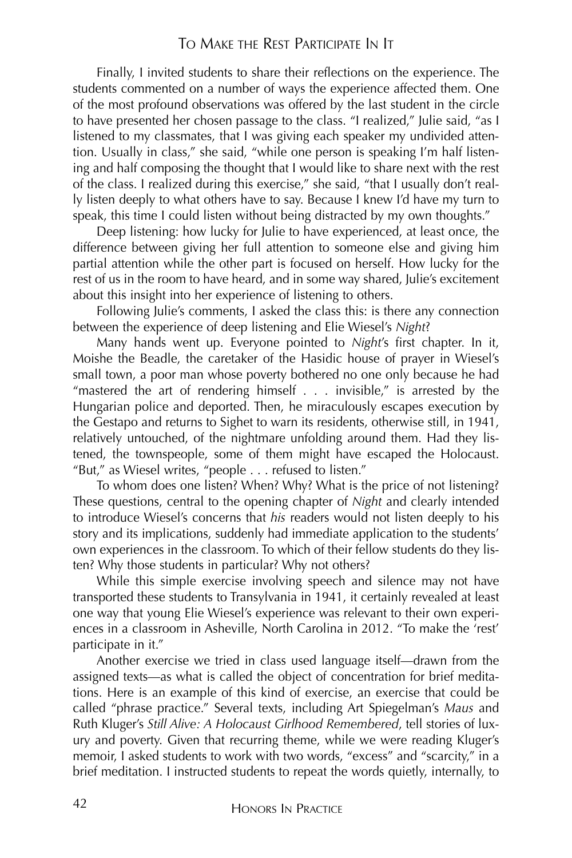#### TO MAKE THE REST PARTICIPATE IN IT

Finally, I invited students to share their reflections on the experience. The students commented on a number of ways the experience affected them. One of the most profound observations was offered by the last student in the circle to have presented her chosen passage to the class. "I realized," Julie said, "as I listened to my classmates, that I was giving each speaker my undivided attention. Usually in class," she said, "while one person is speaking I'm half listening and half composing the thought that I would like to share next with the rest of the class. I realized during this exercise," she said, "that I usually don't really listen deeply to what others have to say. Because I knew I'd have my turn to speak, this time I could listen without being distracted by my own thoughts."

Deep listening: how lucky for Julie to have experienced, at least once, the difference between giving her full attention to someone else and giving him partial attention while the other part is focused on herself. How lucky for the rest of us in the room to have heard, and in some way shared, Julie's excitement about this insight into her experience of listening to others.

Following Julie's comments, I asked the class this: is there any connection between the experience of deep listening and Elie Wiesel's *Night*?

Many hands went up. Everyone pointed to *Night*'s first chapter. In it, Moishe the Beadle, the caretaker of the Hasidic house of prayer in Wiesel's small town, a poor man whose poverty bothered no one only because he had "mastered the art of rendering himself . . . invisible," is arrested by the Hungarian police and deported. Then, he miraculously escapes execution by the Gestapo and returns to Sighet to warn its residents, otherwise still, in 1941, relatively untouched, of the nightmare unfolding around them. Had they listened, the townspeople, some of them might have escaped the Holocaust. "But," as Wiesel writes, "people . . . refused to listen."

To whom does one listen? When? Why? What is the price of not listening? These questions, central to the opening chapter of *Night* and clearly intended to introduce Wiesel's concerns that *his* readers would not listen deeply to his story and its implications, suddenly had immediate application to the students' own experiences in the classroom. To which of their fellow students do they listen? Why those students in particular? Why not others?

While this simple exercise involving speech and silence may not have transported these students to Transylvania in 1941, it certainly revealed at least one way that young Elie Wiesel's experience was relevant to their own experiences in a classroom in Asheville, North Carolina in 2012. "To make the 'rest' participate in it."

Another exercise we tried in class used language itself—drawn from the assigned texts—as what is called the object of concentration for brief meditations. Here is an example of this kind of exercise, an exercise that could be called "phrase practice." Several texts, including Art Spiegelman's *Maus* and Ruth Kluger's *Still Alive: A Holocaust Girlhood Remembered*, tell stories of luxury and poverty. Given that recurring theme, while we were reading Kluger's memoir, I asked students to work with two words, "excess" and "scarcity," in a brief meditation. I instructed students to repeat the words quietly, internally, to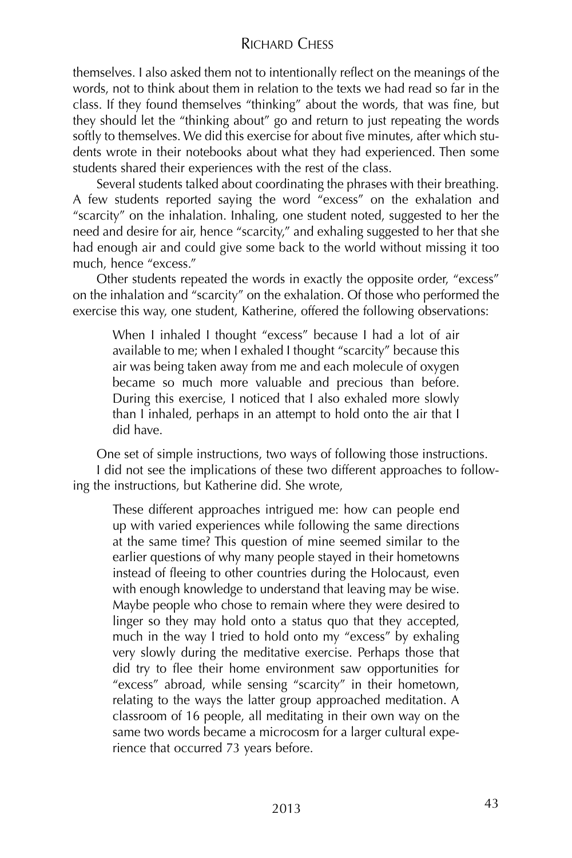## RICHARD CHESS

themselves. I also asked them not to intentionally reflect on the meanings of the words, not to think about them in relation to the texts we had read so far in the class. If they found themselves "thinking" about the words, that was fine, but they should let the "thinking about" go and return to just repeating the words softly to themselves. We did this exercise for about five minutes, after which students wrote in their notebooks about what they had experienced. Then some students shared their experiences with the rest of the class.

Several students talked about coordinating the phrases with their breathing. A few students reported saying the word "excess" on the exhalation and "scarcity" on the inhalation. Inhaling, one student noted, suggested to her the need and desire for air, hence "scarcity," and exhaling suggested to her that she had enough air and could give some back to the world without missing it too much, hence "excess."

Other students repeated the words in exactly the opposite order, "excess" on the inhalation and "scarcity" on the exhalation. Of those who performed the exercise this way, one student, Katherine, offered the following observations:

When I inhaled I thought "excess" because I had a lot of air available to me; when I exhaled I thought "scarcity" because this air was being taken away from me and each molecule of oxygen became so much more valuable and precious than before. During this exercise, I noticed that I also exhaled more slowly than I inhaled, perhaps in an attempt to hold onto the air that I did have.

One set of simple instructions, two ways of following those instructions. I did not see the implications of these two different approaches to following the instructions, but Katherine did. She wrote,

These different approaches intrigued me: how can people end up with varied experiences while following the same directions at the same time? This question of mine seemed similar to the earlier questions of why many people stayed in their hometowns instead of fleeing to other countries during the Holocaust, even with enough knowledge to understand that leaving may be wise. Maybe people who chose to remain where they were desired to linger so they may hold onto a status quo that they accepted, much in the way I tried to hold onto my "excess" by exhaling very slowly during the meditative exercise. Perhaps those that did try to flee their home environment saw opportunities for "excess" abroad, while sensing "scarcity" in their hometown, relating to the ways the latter group approached meditation. A classroom of 16 people, all meditating in their own way on the same two words became a microcosm for a larger cultural experience that occurred 73 years before.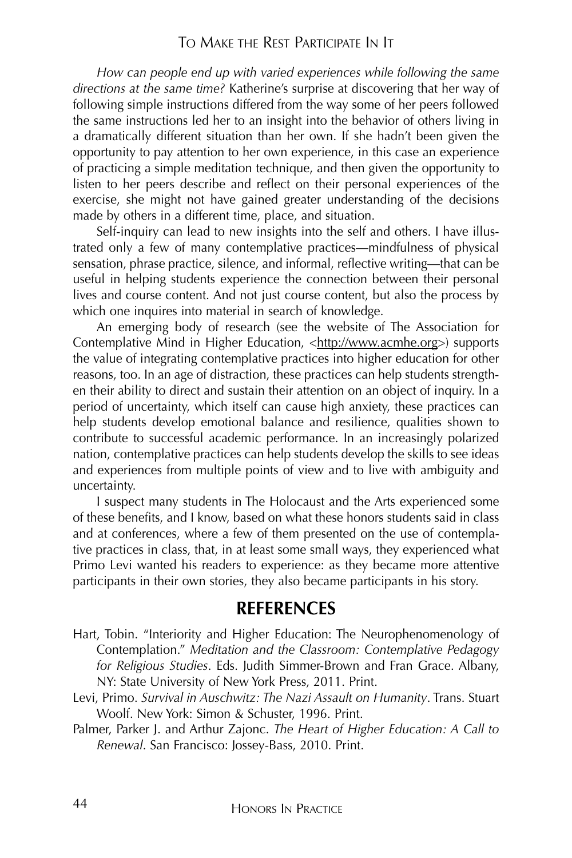#### TO MAKE THE REST PARTICIPATE IN IT

*How can people end up with varied experiences while following the same directions at the same time?* Katherine's surprise at discovering that her way of following simple instructions differed from the way some of her peers followed the same instructions led her to an insight into the behavior of others living in a dramatically different situation than her own. If she hadn't been given the opportunity to pay attention to her own experience, in this case an experience of practicing a simple meditation technique, and then given the opportunity to listen to her peers describe and reflect on their personal experiences of the exercise, she might not have gained greater understanding of the decisions made by others in a different time, place, and situation.

Self-inquiry can lead to new insights into the self and others. I have illustrated only a few of many contemplative practices—mindfulness of physical sensation, phrase practice, silence, and informal, reflective writing—that can be useful in helping students experience the connection between their personal lives and course content. And not just course content, but also the process by which one inquires into material in search of knowledge.

An emerging body of research (see the website of The Association for Contemplative Mind in Higher Education, <http://www.acmhe.org>) supports the value of integrating contemplative practices into higher education for other reasons, too. In an age of distraction, these practices can help students strengthen their ability to direct and sustain their attention on an object of inquiry. In a period of uncertainty, which itself can cause high anxiety, these practices can help students develop emotional balance and resilience, qualities shown to contribute to successful academic performance. In an increasingly polarized nation, contemplative practices can help students develop the skills to see ideas and experiences from multiple points of view and to live with ambiguity and uncertainty.

I suspect many students in The Holocaust and the Arts experienced some of these benefits, and I know, based on what these honors students said in class and at conferences, where a few of them presented on the use of contemplative practices in class, that, in at least some small ways, they experienced what Primo Levi wanted his readers to experience: as they became more attentive participants in their own stories, they also became participants in his story.

## **REFERENCES**

- Hart, Tobin. "Interiority and Higher Education: The Neurophenomenology of Contemplation." *Meditation and the Classroom: Contemplative Pedagogy for Religious Studies*. Eds. Judith Simmer-Brown and Fran Grace. Albany, NY: State University of New York Press, 2011. Print.
- Levi, Primo. *Survival in Auschwitz: The Nazi Assault on Humanity*. Trans. Stuart Woolf. New York: Simon & Schuster, 1996. Print.
- Palmer, Parker J. and Arthur Zajonc. *The Heart of Higher Education: A Call to Renewal*. San Francisco: Jossey-Bass, 2010. Print.